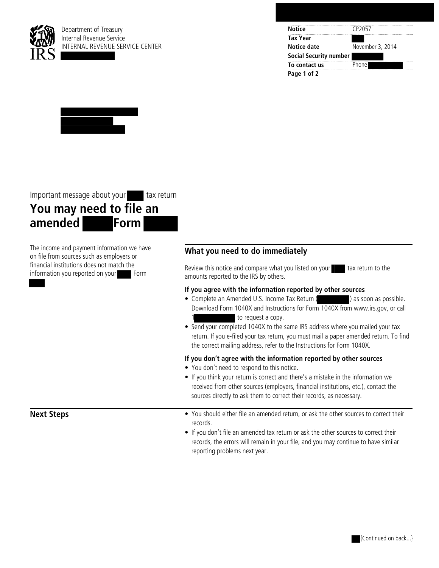

Department of Treasury Internal Revenue Service INTERNAL REVENUE SERVICE CENTER

| <b>Notice</b>                 | CP <sub>2057</sub> |
|-------------------------------|--------------------|
| <b>Tax Year</b>               |                    |
| Notice date                   | November 3, 2014   |
| <b>Social Security number</b> |                    |
| To contact us                 | Phone              |
| Page 1 of 2                   |                    |



Important message about your tax return

# **You may need to file an amended Form**

The income and payment information we have on file from sources such as employers or financial institutions does not match the information you reported on your Form

## **What you need to do immediately**

Review this notice and compare what you listed on your tax return to the amounts reported to the IRS by others.

### **If you agree with the information reported by other sources**

- Complete an Amended U.S. Income Tax Return ( ) as soon as possible. Download Form 1040X and Instructions for Form 1040X from www.irs.gov, or call to request a copy.
- Send your completed 1040X to the same IRS address where you mailed your tax return. If you e-filed your tax return, you must mail a paper amended return. To find the correct mailing address, refer to the Instructions for Form 1040X.

#### **If you don't agree with the information reported by other sources**

- You don't need to respond to this notice.
- If you think your return is correct and there's a mistake in the information we received from other sources (employers, financial institutions, etc.), contact the sources directly to ask them to correct their records, as necessary.
- **Next Steps •** You should either file an amended return, or ask the other sources to correct their records.
	- If you don't file an amended tax return or ask the other sources to correct their records, the errors will remain in your file, and you may continue to have similar reporting problems next year.